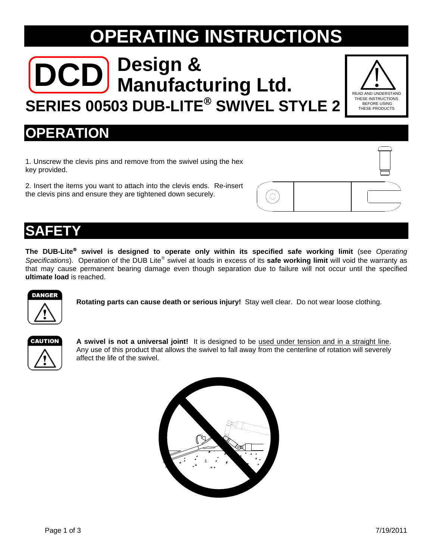# **OPERATING INSTRUCTIONS**

# **DCD Manufacturing Ltd. SERIES 00503 DUB-LITE SWIVEL STYLE 2**



#### **OPERATION**

1. Unscrew the clevis pins and remove from the swivel using the hex key provided.

2. Insert the items you want to attach into the clevis ends. Re-insert the clevis pins and ensure they are tightened down securely.



#### **SAFETY**

**The DUB-Lite swivel is designed to operate only within its specified safe working limit** (see *Operating Specifications*). Operation of the DUB Lite® swivel at loads in excess of its **safe working limit** will void the warranty as that may cause permanent bearing damage even though separation due to failure will not occur until the specified **ultimate load** is reached.



**Rotating parts can cause death or serious injury!** Stay well clear. Do not wear loose clothing.

| CAUTION |
|---------|
|         |
|         |

**A swivel is not a universal joint!** It is designed to be used under tension and in a straight line. Any use of this product that allows the swivel to fall away from the centerline of rotation will severely affect the life of the swivel.

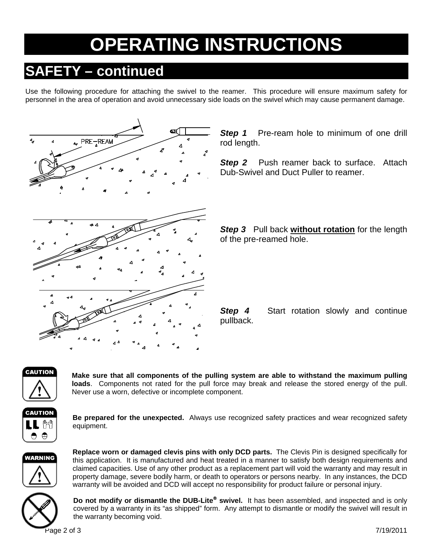# **PERATING INSTRUCTIONS**

### **SAFETY – continued**

Use the following procedure for attaching the swivel to the reamer. This procedure will ensure maximum safety for personnel in the area of operation and avoid unnecessary side loads on the swivel which may cause permanent damage.



**Step 1** Pre-ream hole to minimum of one drill rod length.

**Step 2** Push reamer back to surface. Attach Dub-Swivel and Duct Puller to reamer.

**Step 3** Pull back **without rotation** for the length of the pre-reamed hole.

**Step 4** Start rotation slowly and continue pullback.



**Make sure that all components of the pulling system are able to withstand the maximum pulling loads**. Components not rated for the pull force may break and release the stored energy of the pull. Never use a worn, defective or incomplete component.



**Be prepared for the unexpected.** Always use recognized safety practices and wear recognized safety equipment.



**Replace worn or damaged clevis pins with only DCD parts.** The Clevis Pin is designed specifically for this application. It is manufactured and heat treated in a manner to satisfy both design requirements and claimed capacities. Use of any other product as a replacement part will void the warranty and may result in property damage, severe bodily harm, or death to operators or persons nearby. In any instances, the DCD warranty will be avoided and DCD will accept no responsibility for product failure or personal injury.



**Do not modify or dismantle the DUB-Lite<sup>®</sup> swivel.** It has been assembled, and inspected and is only covered by a warranty in its "as shipped" form. Any attempt to dismantle or modify the swivel will result in the warranty becoming void.